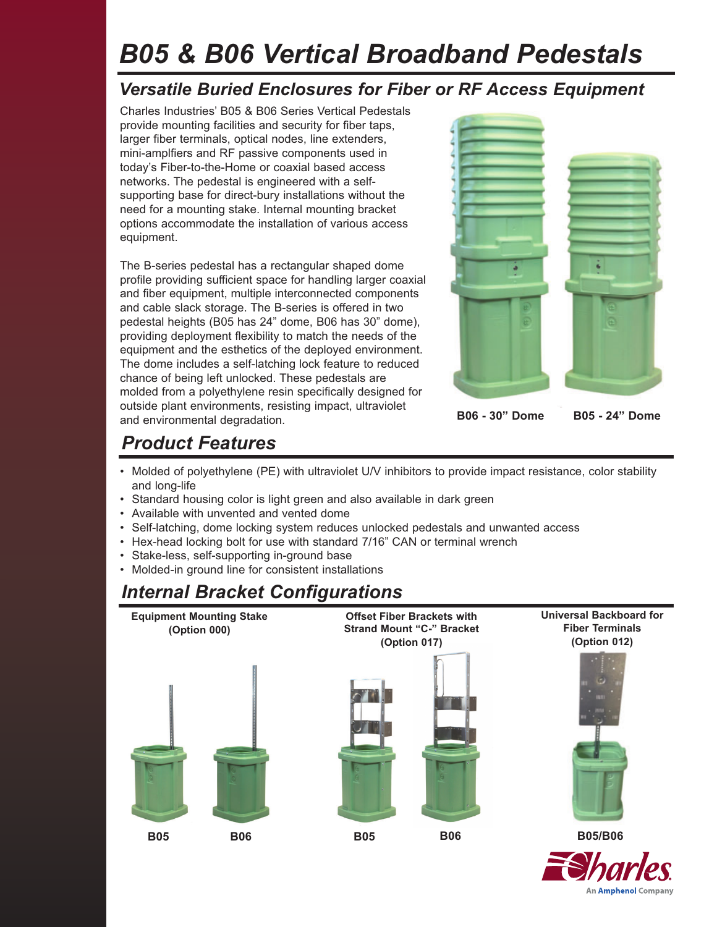# *B05 & B06 Vertical Broadband Pedestals*

### *Versatile Buried Enclosures for Fiber or RF Access Equipment*

Charles Industries' B05 & B06 Series Vertical Pedestals provide mounting facilities and security for fiber taps, larger fiber terminals, optical nodes, line extenders, mini-amplfiers and RF passive components used in today's Fiber-to-the-Home or coaxial based access networks. The pedestal is engineered with a selfsupporting base for direct-bury installations without the need for a mounting stake. Internal mounting bracket options accommodate the installation of various access equipment.

The B-series pedestal has a rectangular shaped dome profile providing sufficient space for handling larger coaxial and fiber equipment, multiple interconnected components and cable slack storage. The B-series is offered in two pedestal heights (B05 has 24" dome, B06 has 30" dome), providing deployment flexibility to match the needs of the equipment and the esthetics of the deployed environment. The dome includes a self-latching lock feature to reduced chance of being left unlocked. These pedestals are molded from a polyethylene resin specifically designed for outside plant environments, resisting impact, ultraviolet and environmental degradation.



An Amphenol Company

# *Product Features*

- Molded of polyethylene (PE) with ultraviolet U/V inhibitors to provide impact resistance, color stability and long-life
- Standard housing color is light green and also available in dark green
- Available with unvented and vented dome
- Self-latching, dome locking system reduces unlocked pedestals and unwanted access
- Hex-head locking bolt for use with standard 7/16" CAN or terminal wrench
- Stake-less, self-supporting in-ground base
- Molded-in ground line for consistent installations

## *Internal Bracket Configurations*

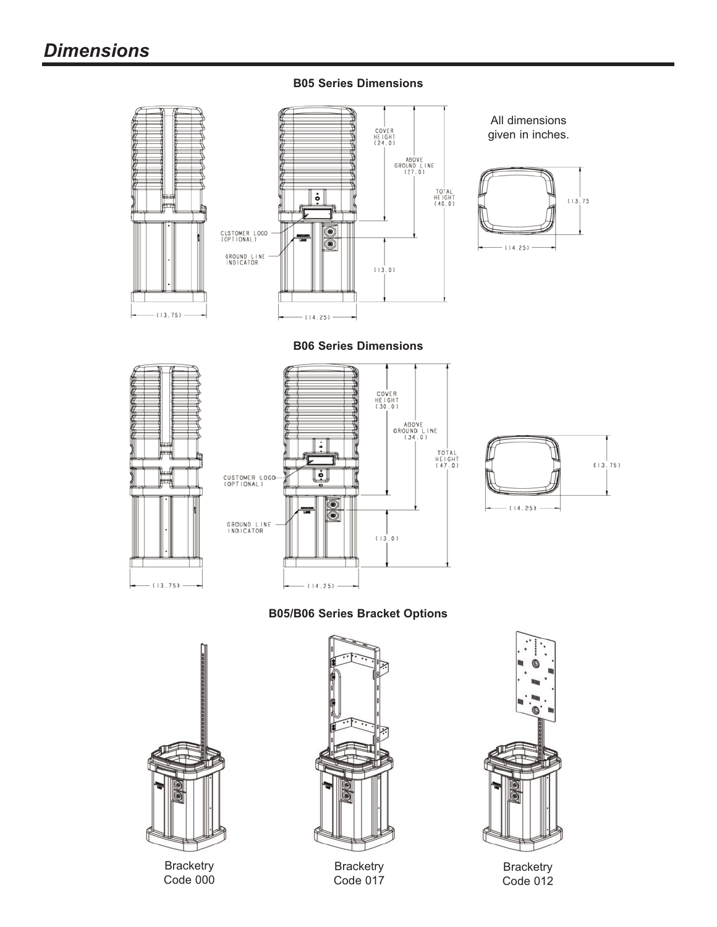#### **B05 Series Dimensions**



**B06 Series Dimensions**







**B05/B06 Series Bracket Options**



**Bracketry** Code 000



**Bracketry** Code 017



**Bracketry** Code 012